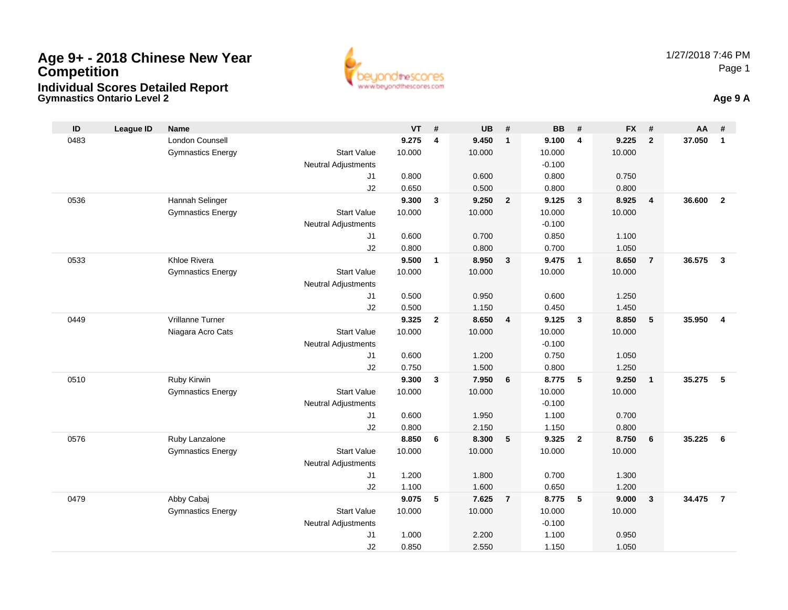## **Age 9+ - 2018 Chinese New Year CompetitionIndividual Scores Detailed Report**

**Gymnastics Ontario Level 2**



**Age 9 A**

| ID   | <b>League ID</b> | <b>Name</b>              |                                  | $VT$ #         |                         | <b>UB</b>      | #                       | <b>BB</b>      | #                       | <b>FX</b>      | #              | AA     | #                       |
|------|------------------|--------------------------|----------------------------------|----------------|-------------------------|----------------|-------------------------|----------------|-------------------------|----------------|----------------|--------|-------------------------|
| 0483 |                  | London Counsell          |                                  | 9.275          | $\overline{4}$          | 9.450          | $\mathbf{1}$            | 9.100          | $\overline{4}$          | 9.225          | $\overline{2}$ | 37.050 | $\mathbf{1}$            |
|      |                  | <b>Gymnastics Energy</b> | <b>Start Value</b>               | 10.000         |                         | 10.000         |                         | 10.000         |                         | 10.000         |                |        |                         |
|      |                  |                          | <b>Neutral Adjustments</b>       |                |                         |                |                         | $-0.100$       |                         |                |                |        |                         |
|      |                  |                          | J1                               | 0.800          |                         | 0.600          |                         | 0.800          |                         | 0.750          |                |        |                         |
|      |                  |                          | J2                               | 0.650          |                         | 0.500          |                         | 0.800          |                         | 0.800          |                |        |                         |
| 0536 |                  | Hannah Selinger          |                                  | 9.300          | $\mathbf{3}$            | 9.250          | $\overline{2}$          | 9.125          | $\overline{\mathbf{3}}$ | 8.925          | $\overline{4}$ | 36.600 | $\overline{2}$          |
|      |                  | <b>Gymnastics Energy</b> | <b>Start Value</b>               | 10.000         |                         | 10.000         |                         | 10.000         |                         | 10.000         |                |        |                         |
|      |                  |                          | <b>Neutral Adjustments</b>       |                |                         |                |                         | $-0.100$       |                         |                |                |        |                         |
|      |                  |                          | J1                               | 0.600          |                         | 0.700          |                         | 0.850          |                         | 1.100          |                |        |                         |
|      |                  |                          | J2                               | 0.800          |                         | 0.800          |                         | 0.700          |                         | 1.050          |                |        |                         |
| 0533 |                  | Khloe Rivera             |                                  | 9.500          | $\mathbf{1}$            | 8.950          | $\mathbf{3}$            | 9.475          | $\overline{1}$          | 8.650          | $\overline{7}$ | 36.575 | $\mathbf{3}$            |
|      |                  | <b>Gymnastics Energy</b> | <b>Start Value</b>               | 10.000         |                         | 10.000         |                         | 10.000         |                         | 10.000         |                |        |                         |
|      |                  |                          | <b>Neutral Adjustments</b>       |                |                         |                |                         |                |                         |                |                |        |                         |
|      |                  |                          | J1                               | 0.500          |                         | 0.950          |                         | 0.600          |                         | 1.250          |                |        |                         |
|      |                  | Vrillanne Turner         | J <sub>2</sub>                   | 0.500<br>9.325 |                         | 1.150<br>8.650 |                         | 0.450<br>9.125 |                         | 1.450<br>8.850 |                | 35.950 | $\overline{\mathbf{4}}$ |
| 0449 |                  |                          | <b>Start Value</b>               | 10.000         | $\mathbf{2}$            | 10.000         | $\overline{\mathbf{4}}$ | 10.000         | $\mathbf{3}$            |                | 5              |        |                         |
|      |                  | Niagara Acro Cats        |                                  |                |                         |                |                         | $-0.100$       |                         | 10.000         |                |        |                         |
|      |                  |                          | <b>Neutral Adjustments</b><br>J1 | 0.600          |                         | 1.200          |                         | 0.750          |                         | 1.050          |                |        |                         |
|      |                  |                          | J2                               | 0.750          |                         | 1.500          |                         | 0.800          |                         | 1.250          |                |        |                         |
| 0510 |                  | Ruby Kirwin              |                                  | 9.300          | $\overline{\mathbf{3}}$ | 7.950          | 6                       | 8.775          | $5^{\circ}$             | 9.250          | $\overline{1}$ | 35.275 | 5                       |
|      |                  | <b>Gymnastics Energy</b> | <b>Start Value</b>               | 10.000         |                         | 10.000         |                         | 10.000         |                         | 10.000         |                |        |                         |
|      |                  |                          | <b>Neutral Adjustments</b>       |                |                         |                |                         | $-0.100$       |                         |                |                |        |                         |
|      |                  |                          | J1                               | 0.600          |                         | 1.950          |                         | 1.100          |                         | 0.700          |                |        |                         |
|      |                  |                          | J2                               | 0.800          |                         | 2.150          |                         | 1.150          |                         | 0.800          |                |        |                         |
| 0576 |                  | Ruby Lanzalone           |                                  | 8.850          | 6                       | 8.300          | 5                       | 9.325          | $\overline{2}$          | 8.750          | 6              | 35.225 | 6                       |
|      |                  | <b>Gymnastics Energy</b> | <b>Start Value</b>               | 10.000         |                         | 10.000         |                         | 10.000         |                         | 10.000         |                |        |                         |
|      |                  |                          | <b>Neutral Adjustments</b>       |                |                         |                |                         |                |                         |                |                |        |                         |
|      |                  |                          | J1                               | 1.200          |                         | 1.800          |                         | 0.700          |                         | 1.300          |                |        |                         |
|      |                  |                          | J2                               | 1.100          |                         | 1.600          |                         | 0.650          |                         | 1.200          |                |        |                         |
| 0479 |                  | Abby Cabaj               |                                  | 9.075          | 5                       | 7.625          | $\overline{7}$          | 8.775          | $\sqrt{5}$              | 9.000          | $\mathbf{3}$   | 34.475 | $\overline{7}$          |
|      |                  | <b>Gymnastics Energy</b> | <b>Start Value</b>               | 10.000         |                         | 10.000         |                         | 10.000         |                         | 10.000         |                |        |                         |
|      |                  |                          | <b>Neutral Adjustments</b>       |                |                         |                |                         | $-0.100$       |                         |                |                |        |                         |
|      |                  |                          | J <sub>1</sub>                   | 1.000          |                         | 2.200          |                         | 1.100          |                         | 0.950          |                |        |                         |
|      |                  |                          | J2                               | 0.850          |                         | 2.550          |                         | 1.150          |                         | 1.050          |                |        |                         |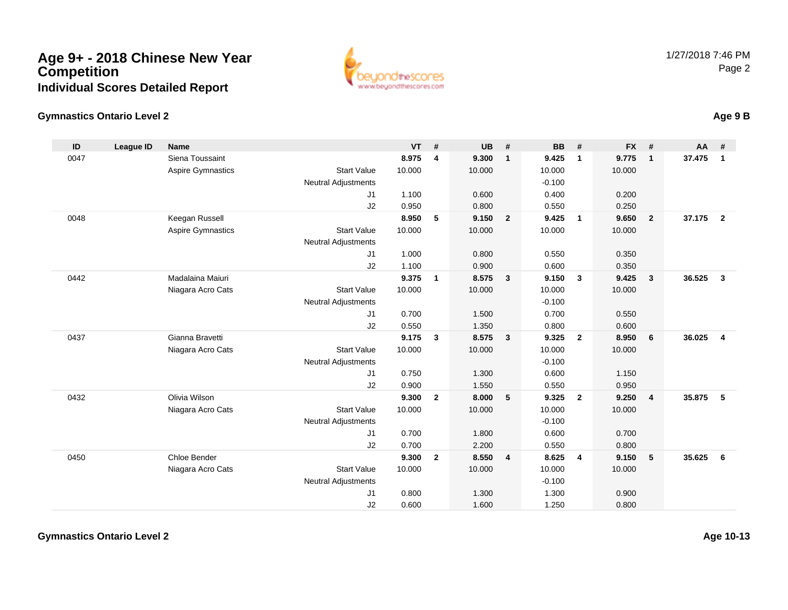## **Age 9+ - 2018 Chinese New Year CompetitionIndividual Scores Detailed Report**



## **Gymnastics Ontario Level 2Age 9 B**

| ID   | <b>League ID</b> | <b>Name</b>              |                            | <b>VT</b> | #              | <b>UB</b> | #                       | <b>BB</b> | #                       | <b>FX</b> | #              | AA     | #              |
|------|------------------|--------------------------|----------------------------|-----------|----------------|-----------|-------------------------|-----------|-------------------------|-----------|----------------|--------|----------------|
| 0047 |                  | Siena Toussaint          |                            | 8.975     | 4              | 9.300     | $\overline{1}$          | 9.425     | $\mathbf{1}$            | 9.775     | $\mathbf{1}$   | 37.475 | $\mathbf{1}$   |
|      |                  | <b>Aspire Gymnastics</b> | <b>Start Value</b>         | 10.000    |                | 10.000    |                         | 10.000    |                         | 10.000    |                |        |                |
|      |                  |                          | <b>Neutral Adjustments</b> |           |                |           |                         | $-0.100$  |                         |           |                |        |                |
|      |                  |                          | J1                         | 1.100     |                | 0.600     |                         | 0.400     |                         | 0.200     |                |        |                |
|      |                  |                          | J2                         | 0.950     |                | 0.800     |                         | 0.550     |                         | 0.250     |                |        |                |
| 0048 |                  | Keegan Russell           |                            | 8.950     | 5              | 9.150     | $\overline{\mathbf{2}}$ | 9.425     | $\overline{\mathbf{1}}$ | 9.650     | $\overline{2}$ | 37.175 | $\overline{2}$ |
|      |                  | <b>Aspire Gymnastics</b> | <b>Start Value</b>         | 10.000    |                | 10.000    |                         | 10.000    |                         | 10.000    |                |        |                |
|      |                  |                          | <b>Neutral Adjustments</b> |           |                |           |                         |           |                         |           |                |        |                |
|      |                  |                          | J <sub>1</sub>             | 1.000     |                | 0.800     |                         | 0.550     |                         | 0.350     |                |        |                |
|      |                  |                          | J2                         | 1.100     |                | 0.900     |                         | 0.600     |                         | 0.350     |                |        |                |
| 0442 |                  | Madalaina Maiuri         |                            | 9.375     | $\mathbf{1}$   | 8.575     | $\overline{\mathbf{3}}$ | 9.150     | $\mathbf{3}$            | 9.425     | $\mathbf{3}$   | 36.525 | 3              |
|      |                  | Niagara Acro Cats        | <b>Start Value</b>         | 10.000    |                | 10.000    |                         | 10.000    |                         | 10.000    |                |        |                |
|      |                  |                          | <b>Neutral Adjustments</b> |           |                |           |                         | $-0.100$  |                         |           |                |        |                |
|      |                  |                          | J1                         | 0.700     |                | 1.500     |                         | 0.700     |                         | 0.550     |                |        |                |
|      |                  |                          | J2                         | 0.550     |                | 1.350     |                         | 0.800     |                         | 0.600     |                |        |                |
| 0437 |                  | Gianna Bravetti          |                            | 9.175     | 3              | 8.575     | $\overline{\mathbf{3}}$ | 9.325     | $\overline{2}$          | 8.950     | 6              | 36.025 | $\overline{4}$ |
|      |                  | Niagara Acro Cats        | <b>Start Value</b>         | 10.000    |                | 10.000    |                         | 10.000    |                         | 10.000    |                |        |                |
|      |                  |                          | <b>Neutral Adjustments</b> |           |                |           |                         | $-0.100$  |                         |           |                |        |                |
|      |                  |                          | J <sub>1</sub>             | 0.750     |                | 1.300     |                         | 0.600     |                         | 1.150     |                |        |                |
|      |                  |                          | J2                         | 0.900     |                | 1.550     |                         | 0.550     |                         | 0.950     |                |        |                |
| 0432 |                  | Olivia Wilson            |                            | 9.300     | $\overline{2}$ | 8.000     | 5                       | 9.325     | $\overline{2}$          | 9.250     | $\overline{4}$ | 35,875 | 5              |
|      |                  | Niagara Acro Cats        | <b>Start Value</b>         | 10.000    |                | 10.000    |                         | 10.000    |                         | 10.000    |                |        |                |
|      |                  |                          | <b>Neutral Adjustments</b> |           |                |           |                         | $-0.100$  |                         |           |                |        |                |
|      |                  |                          | J1                         | 0.700     |                | 1.800     |                         | 0.600     |                         | 0.700     |                |        |                |
|      |                  |                          | J2                         | 0.700     |                | 2.200     |                         | 0.550     |                         | 0.800     |                |        |                |
| 0450 |                  | Chloe Bender             |                            | 9.300     | $\overline{2}$ | 8.550     | $\overline{4}$          | 8.625     | $\overline{4}$          | 9.150     | 5              | 35.625 | 6              |
|      |                  | Niagara Acro Cats        | <b>Start Value</b>         | 10.000    |                | 10.000    |                         | 10.000    |                         | 10.000    |                |        |                |
|      |                  |                          | <b>Neutral Adjustments</b> |           |                |           |                         | $-0.100$  |                         |           |                |        |                |
|      |                  |                          | J <sub>1</sub>             | 0.800     |                | 1.300     |                         | 1.300     |                         | 0.900     |                |        |                |
|      |                  |                          | J2                         | 0.600     |                | 1.600     |                         | 1.250     |                         | 0.800     |                |        |                |

**Gymnastics Ontario Level 2**

**Age 10-13**